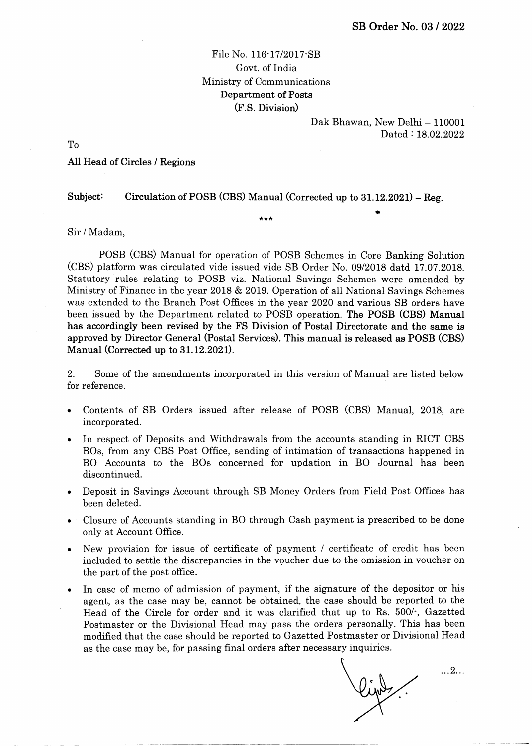## File No. 116-17/2017-SB Govt. of India Ministry of Communications Department of Posts (F.S. Division)

Dak Bhawan, New Delhi - 110001 Dated: 18.02.2022

a

To

## AII Head of Circles / Regions

Subject: Circulation of POSB (CBS) Manual (Corrected up to  $31.12.2021$ ) – Reg.

\*\*\*

Sir / Madam,

POSB (CBS) Manual for operation of POSB Schemes in Core Banking Solution (CBS) platform was circulated vide issued vide SB Order No. 09/2018 datd 17.07.2018. Statutory rules relating to POSB viz. National Savings Schemes were amended by Ministry of Finance in the year 2018 & 2019. Operation of all National Savings Schemes was extended to the Branch Post Offices in the year 2020 and various SB orders have been issued by the Department related to POSB operation. The POSB (CBS) Manual has accordingly been revised by the FS Division of Postal Directorate and the same is approved by Director General (Postal Services). This manual is released as POSB (CBS) Manual (Corrected up to 31.12.202D.

2. Some of the amendments incorporated in this version of Manual are listed below for reference.

- a Contents of SB Orders issued after release of POSB (CBS) Manual, 2018, are incorporated.
- In respect of Deposits and Withdrawals from the accounts standing in RICT CBS BOs, from any CBS Post Office, sending of intimation of transactions happened in BO Accounts to the BOs concerned for updation in BO Journal has been discontinued. a
- Deposit in Savings Account through SB Money Orders from Field Post Offices has been deleted. a
- Closure of Accounts standing in BO through Cash payment is prescribed to be done only at Account Office. a
- New provision for issue of certificate of payment / certificate of credit has been included to settle the discrepancies in the voucher due to the omission in voucher on the part of the post office. n
- In case of memo of admission of payment, if the signature of the depositor or his agent, as the case may be, cannot be obtained, the case should be reported to the Head of the Circle for order and it was clarified that up to Rs. 500/', Gazetted Postmaster or the Divisional Head may pass the orders personally. This has been modified that the case should be reported to Gazetted Postmaster or Divisional Head as the case may be, for passing final orders after necessary inquiries. a

 $\mathbf{\hat{z}}$ ...2...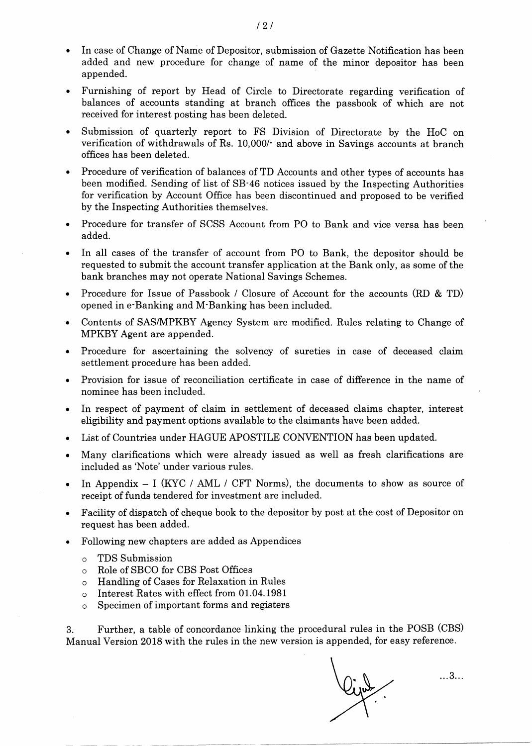- In case of Change of Name of Depositor, submission of Gazette Notification has been added and new procedure for change of name of the minor depositor has been appended.
- . Furnishing of report by Head of Circle to Directorate regarding verification of balances of accounts standing at branch offrces the passbook of which are not received for interest posting has been deleted.
- . Submission of quarterly report to FS Division of Directorate by the HoC on verification of withdrawals of Rs. 10,000/' and above in Savings accounts at branch offices has been deleted.
- . Procedure of verification of balances of TD Accounts and other types of accounts has been modified. Sending of list of SB-46 notices issued by the Inspecting Authorities for verification by Account Office has been discontinued and proposed to be verified by the Inspecting Authorities themselves.
- . Procedure for transfer of SCSS Account from PO to Bank and vice versa has been added.
- . In all cases of the transfer of account from PO to Bank, the depositor should be requested to submit the account transfer application at the Bank only, as some of the bank branches may not operate National Savings Schemes.
- Procedure for Issue of Passbook / Closure of Account for the accounts (RD & TD) opened in e'Banking and M'Banking has been included.
- . Contents of SAS/IVIPKBY Agency System are modified. Rules relating to Change of MPKBY Agent are appended.
- . Procedure for ascertaining the solvency of sureties in case of deceased claim settlement procedure has been added.
- . Provision for issue of reconciliation certificate in case of difference in the name of nominee has been included.
- . In respect of payment of claim in settlement of deceased claims chapter, interest eligibility and payment options available to the claimants have been added.
- List of Countries under HAGUE APOSTILE CONVENTION has been updated.
- . Many clarifications which were already issued as well as fresh clarifications are included as'Note' under various rules.
- In Appendix  $-$  I (KYC / AML / CFT Norms), the documents to show as source of receipt of funds tendered for investment are included.
- . Facility of dispatch of cheque book to the depositor by post at the cost of Depositor on request has been added.
- . Following new chapters are added as Appendices
	- o TDS Submission
	- o RoIe of SBCO for CBS Post Offices
	- o Handling of Cases for Relaxation in Rules
	- o Interest Rates with effect from 01.04.1981
	- o Specimen of important forms and registers

3. Further, a table of concordance Iinking the procedural rules in the POSB (CBS) Manual Version 2018 with the rules in the new version is appended, for easy reference.

...3...